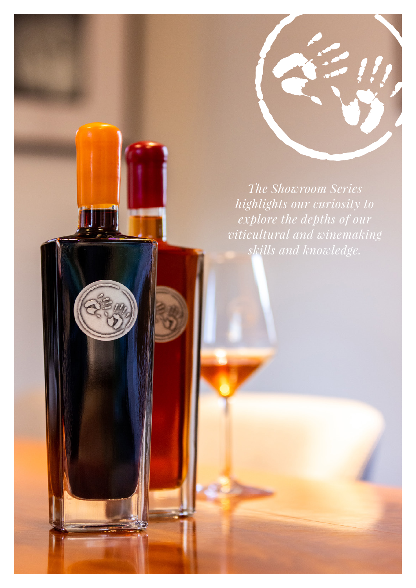

*The Showroom Series highlights our curiosity to explore the depths of our viticultural and winemaking skills and knowledge.*